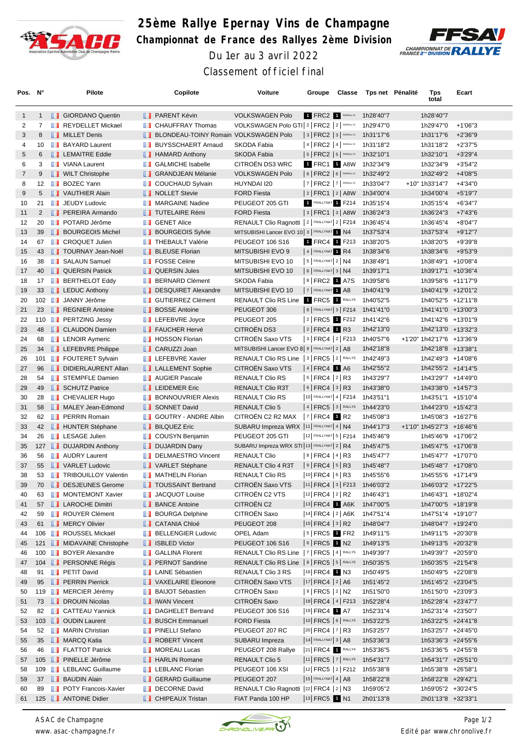

## **25ème Rallye Epernay Vins de Champagne Championnat de France des Rallyes 2ème Division** Du 1er au 3 avril 2022



Classement officiel final

| Pos. N°        |                | Pilote                                                     |   | Copilote                                       | Voiture                                                      | Groupe                                         | Classe | Tps net Pénalité       | Tps<br>total                             | Ecart      |  |
|----------------|----------------|------------------------------------------------------------|---|------------------------------------------------|--------------------------------------------------------------|------------------------------------------------|--------|------------------------|------------------------------------------|------------|--|
| $\mathbf{1}$   | $\mathbf{1}$   | <b>B</b> GIORDANO Quentin                                  |   | <b>FRARENT Kévin</b>                           | <b>VOLKSWAGEN Polo</b>                                       | 1 FRC2 1 RS/RALLY2                             |        | 1h28'40"7              | 1h28'40"7                                |            |  |
| 2              | $\overline{7}$ | REYDELLET Mickael                                          | ш | <b>CHAUFFRAY Thomas</b>                        | VOLKSWAGEN Polo GTI 2   FRC2   2   RSIRALLY2                 |                                                |        | 1h29'47"0              | 1h29'47"0                                | $+1'06''3$ |  |
| 3              | 8              | <b>NILLET</b> Denis                                        |   | <b>I BLONDEAU-TOINY Romain VOLKSWAGEN Polo</b> |                                                              | $ 3 $ FRC2 $ 3 $ RS/RALLY2                     |        | 1h31'17"6              | 1h31'17"6                                | $+2'36''9$ |  |
| 4              | 10             | <b>BAYARD Laurent</b>                                      |   | <b>BUYSSCHAERT Arnaud</b>                      | SKODA Fabia                                                  | 4   FRC2   4   RS/RALLY2                       |        | 1h31'18"2              | 1h31'18"2                                | $+2'37"5$  |  |
| 5              | 6              | <b>EXAMPLE Eddie</b>                                       |   | <b>B</b> HAMARD Anthony                        | SKODA Fabia                                                  | $ 5 $ FRC2 $ 5 $ RS/RALLY2                     |        | 1h32'10"1              | 1h32'10"1                                | $+3'29''4$ |  |
| 6              | 3              | <b>U</b> VIANA Laurent                                     |   | <b>B</b> GALMICHE Isabelle                     | CITROËN DS3 WRC                                              | 1 FRC1 1 A8W                                   |        | 1h32'34"9              | 1h32'34"9                                | $+3'54"2$  |  |
| $\overline{7}$ | 9              | <b>WILT Christophe</b>                                     |   | <b>BE GRANDJEAN Mélanie</b>                    | <b>VOLKSWAGEN Polo</b>                                       | $6$ FRC2 $6$ RSRALLY2                          |        | 1h32'49"2              | 1h32'49"2                                | $+4'08"5$  |  |
| 8              | 12             | <b>BOZEC Yann</b>                                          |   | <b>COUCHAUD Sylvain</b>                        | HUYNDAI I20                                                  | $ 7 $ FRC2 $ 7 $ RS/RALLY2                     |        | 1h33'04"7              | +10" 1h33'14"7                           | +4'34"0    |  |
| 9              | 5              | VAUTHIER Alain                                             |   | NOLLET Stevie                                  | <b>FORD Fiesta</b>                                           | 2   FRC1   2   A8W                             |        | 1h34'00"4              | 1h34'00"4                                | $+5'19''7$ |  |
| 10             | 21             | <b>JEUDY Ludovic</b>                                       |   | <b>NARGAINE Nadine</b>                         | PEUGEOT 205 GTI                                              | <b>FRALLYNAT   F214</b>                        |        | 1h35'15"4              | 1h35'15"4                                | $+6'34"7$  |  |
| 11             | $\overline{2}$ | <b>PEREIRA Armando</b>                                     |   | <b>TUTELAIRE Rémi</b>                          | <b>FORD Fiesta</b>                                           | 3   FRC1   3   A8W                             |        | 1h36'24"3              | 1h36'24"3                                | $+7'43''6$ |  |
| 12             | 20             | <b>POTARD Jérôme</b>                                       |   | <b>B</b> GENET Alice                           | RENAULT Clio Ragnotti   2   FRALLYNAT 2   F214               |                                                |        | 1h36'45"4              | 1h36'45"4                                | $+8'04"7$  |  |
| 13             | 39             | <b>BOURGEOIS Michel</b>                                    |   | <b>BOURGEOIS Sylvie</b>                        | MITSUBISHI Lancer EVO 10 3   FRALLYNAT 1 N4                  |                                                |        | 1h37'53"4              | 1h37'53"4                                | $+9'12"7$  |  |
| 14             | 67             | <b>CROQUET Julien</b>                                      |   | <b>THEBAULT Valérie</b>                        | <b>PEUGEOT 106 S16</b>                                       | 1 FRC4 1 F213                                  |        | 1h38'20"5              | 1h38'20"5                                | +9'39"8    |  |
| 15             | 43             | <b>TOURNAY Jean-Noël</b>                                   |   | <b>BLEUSE Florian</b>                          | MITSUBISHI EVO 9                                             | 4 FRALLYNAT 1 R4                               |        | 1h38'34"6              | 1h38'34"6                                | +9'53"9    |  |
| 16             | 38             | <b>B</b> SALAUN Samuel                                     |   | <b>FOSSE Céline</b>                            | MITSUBISHI EVO 10                                            | $ 5 $ FRALLYNAT $2 NA$<br>$6$ FRALLYNAT 3   N4 |        | 1h38'49"1              | 1h38'49"1 +10'08"4                       |            |  |
| 17<br>18       | 40<br>17       | <b>QUERSIN Patrick</b><br><b>BERTHELOT Eddy</b>            |   | <b>QUERSIN Jules</b><br><b>BERNARD Clément</b> | MITSUBISHI EVO 10<br>SKODA Fabia                             | 8 FRC2 1 A7S                                   |        | 1h39'17"1<br>1h39'58"6 | 1h39'17"1 +10'36"4<br>1h39'58"6 +11'17"9 |            |  |
| 19             |                | 33 <b>LEDUC</b> Anthony                                    | ш | DESQUIRET Alexandre                            | MITSUBISHI EVO 10                                            | 7 FRALLYNAT 1 A8                               |        | 1h40'41"9              | 1h40'41"9 +12'01"2                       |            |  |
| 20             |                | 102 JANNY Jérôme                                           |   | GUTIERREZ Clément                              | RENAULT Clio RS Line 1 FRC5 1 RALLYS                         |                                                |        | 1h40'52"5              | 1h40'52"5 +12'11"8                       |            |  |
| 21             |                | 23 <b>REGNIER Antoine</b>                                  |   | <b>BOSSE Antoine</b>                           | PEUGEOT 306                                                  | 8   FRALLYNAT 3   F214                         |        | 1h41'41"0              | 1h41'41"0 +13'00"3                       |            |  |
| 22             |                | 110 <b>B</b> PERTZING Jessy                                |   | <b>THE LEFEBVRE Joyce</b>                      | PEUGEOT 205                                                  | 2 FRC5 1 F212                                  |        | 1h41'42"6              | 1h41'42"6 +13'01"9                       |            |  |
| 23             |                | 48 <b>CLAUDON</b> Damien                                   |   | <b>FAUCHER Hervé</b>                           | <b>CITROËN DS3</b>                                           | $2$ FRC4 1 R3                                  |        | 1h42'13"0              | 1h42'13"0 +13'32"3                       |            |  |
| 24             | 68             | <b>EXECUTE Aymeric</b>                                     | ш | <b>HOSSON Florian</b>                          | CITROËN Saxo VTS                                             | 3   FRC4   2   F213                            |        | 1h40'57"6              | +1'20" 1h42'17"6 +13'36"9                |            |  |
| 25             | 34             | <b>LEFEBVRE Philippe</b>                                   |   | <b>CARUZZI Joan</b>                            | MITSUBISHI Lancer EVO 8 9   FRALLYNAT 2   A8                 |                                                |        | 1h42'18"8              | 1h42'18"8 +13'38"1                       |            |  |
| 26             |                | 101 FOUTERET Sylvain                                       |   | <b>LEFEBVRE Xavier</b>                         | RENAULT Clio RS Line   3   FRC5   2   RALLYS                 |                                                |        | 1h42'49"3              | 1h42'49"3 +14'08"6                       |            |  |
| 27             | 96             | DIDIERLAURENT Allan                                        |   | <b>LALLEMENT Sophie</b>                        | CITROËN Saxo VTS                                             | 4 FRC4 1 A6                                    |        | 1h42'55"2              | 1h42'55"2 +14'14"5                       |            |  |
| 28             | 54             | STEMPFLE Damien                                            |   | <b>NET AUGIER Pascale</b>                      | RENAULT Clio RS                                              | $ 5 $ FRC4 $ 2 $ R3                            |        | 1h43'29"7              | 1h43'29"7 +14'49"0                       |            |  |
| 29             |                | 49 <b>B</b> SCHUTZ Patrice                                 |   | <b>LEIDEMER Eric</b>                           | <b>RENAULT Clio R3T</b>                                      | $ 6 $ FRC4 $ 3 $ R3                            |        | 1h43'38"0              | 1h43'38"0 +14'57"3                       |            |  |
| 30             | 28             | <b>T</b> CHEVALIER Hugo                                    | ш | <b>BONNOUVRIER Alexis</b>                      | <b>RENAULT Clio RS</b>                                       | 10 FRALLYNAT 4   F214                          |        | 1h43'51"1              | 1h43'51"1 +15'10"4                       |            |  |
| 31             | 58             | MALEY Jean-Edmond                                          |   | <b>SONNET David</b>                            | <b>RENAULT Clio 5</b>                                        | $ 4 $ FRC5 $ 3 $ RALLYS                        |        | 1h44'23"0              | 1h44'23"0 +15'42"3                       |            |  |
| 32             | 62             | <b>FERRIN Romain</b>                                       |   | GOUTRY - ANDRE Albin                           | CITROËN C2 R2 MAX                                            | $ 7 $ FRC4 1 R2                                |        | 1h45'08"3              | 1h45'08"3 +16'27"6                       |            |  |
| 33             |                | 42 <b>B</b> HUNTER Stéphane                                |   | <b>BILQUEZ Eric</b>                            | SUBARU Impreza WRX  11   FRALLYNAT 4   N4                    |                                                |        | 1h44'17"3              | +1'10" 1h45'27"3 +16'46"6                |            |  |
| 34             | 26             | <b>LESAGE Julien</b>                                       |   | <b>COUSYN Benjamin</b>                         | PEUGEOT 205 GTI                                              | 12 FRALLYNAT 5   F214                          |        | 1h45'46"9              | 1h45'46"9 +17'06"2                       |            |  |
| 35             |                | 127 <b>DUJARDIN Anthony</b>                                |   | <b>DUJARDIN Dany</b>                           | SUBARU Impreza WRX STI 13 FRALLYNAT 2   R4                   |                                                |        | 1h45'47"5              | 1h45'47"5 +17'06"8                       |            |  |
| 36             | 56             | <b>NAUDRY Laurent</b>                                      | ш | <b>DELMAESTRO Vincent</b>                      | <b>RENAULT Clio</b>                                          | $ 8 $ FRC4 $ 4 $ R3                            |        | 1h45'47"7              | 1h45'47"7 +17'07"0                       |            |  |
| 37             | 55             | VARLET Ludovic                                             |   | VARLET Stéphane                                | RENAULT Clio 4 R3T                                           | $ 9 $ FRC4 $ 5 $ R3                            |        | 1h45'48"7              | 1h45'48"7 +17'08"0                       |            |  |
| 38             | 53             | <b>TRIBOUILLOY Valentin</b>                                |   | MATHELIN Florian                               | RENAULT Clio RS                                              | 10 FRC4 6 R3                                   |        | 1h45'55"6              | 1h45'55"6 +17'14"9                       |            |  |
| 39             |                | 70 <b>DESJEUNES</b> Gerome                                 |   | <b>TOUSSAINT Bertrand</b>                      | <b>CITROEN Saxo VTS</b>                                      | 11   FRC4   3   F213                           |        | 1h46'03"2              | 1h46'03"2 +17'22"5                       |            |  |
| 40             | 63             | <b>NONTEMONT Xavier</b>                                    |   | <b>JACQUOT Louise</b>                          | CITROËN C2 VTS                                               | $ 12 $ FRC4 $ 2 $ R2                           |        | 1h46'43"1              | 1h46'43"1 +18'02"4                       |            |  |
| 41             | 57             | <b>LAROCHE Dimitri</b>                                     |   | <b>BANCE Antoine</b>                           | CITROËN C2                                                   | 13 FRC4 1 A6K                                  |        | 1h47'00"5              | 1h47'00"5 +18'19"8                       |            |  |
| 42             | 59             | <b>ROUYER Clément</b>                                      |   | <b>BOURGA Delphine</b>                         | CITROËN Saxo                                                 | $ 14 $ FRC4 $ 2 $ A6K                          |        | 1h47'51"4              | 1h47'51"4 +19'10"7                       |            |  |
| 43             | 61             | <b>NERCY Olivier</b>                                       |   | <b>CATANIA Chloé</b>                           | PEUGEOT 208                                                  | 15 FRC4 3 R2                                   |        | 1h48'04"7              | 1h48'04"7 +19'24"0                       |            |  |
| 44             |                | 106 <b>B</b> ROUSSEL Mickaël                               |   | <b>BELLENGIER Ludovic</b>                      | OPEL Adam                                                    | $ 5 $ FRC5 1 FR2                               |        | 1h49'11"5              | 1h49'11"5 +20'30"8                       |            |  |
| 45             |                | 121 <b>MIDAVAINE Christophe</b>                            |   | <b>B</b> ISBLED Victor                         | PEUGEOT 106 S16                                              | $ 6 $ FRC5 1 N2                                |        | 1h49'13"5              | 1h49'13"5 +20'32"8                       |            |  |
| 46             |                | 100 <b>BOYER Alexandre</b>                                 |   | <b>B</b> GALLINA Florent                       | RENAULT Clio RS Line  7   FRC5   4   RALLYS                  |                                                |        | 1h49'39"7              | 1h49'39"7 +20'59"0                       |            |  |
| 47             |                | 104 <b>B</b> PERSONNE Régis                                |   | <b>FRICA</b> PERNOT Sandrine                   | RENAULT Clio RS Line   8   FRC5   5   RALLYS                 |                                                |        | 1h50'35"5              | 1h50'35"5 +21'54"8                       |            |  |
| 48             | 91             | <b>F</b> PETIT David                                       |   | <b>LAINE Sébastien</b>                         | RENAULT Clio 3 RS                                            | 16 FRC4 1 N3                                   |        | 1h50'49"5              | 1h50'49"5 +22'08"8                       |            |  |
| 49             | 95             | <b>PERRIN Pierrick</b>                                     |   | VAXELAIRE Eleonore                             | <b>CITROEN Saxo VTS</b>                                      | $ 17 $ FRC4 $ 2 $ A6                           |        | 1h51'45"2              | 1h51'45"2 +23'04"5                       |            |  |
| 50             |                | 119 MERCIER Jérémy                                         |   | <b>BAIJOT Sébastien</b>                        | CITROËN Saxo                                                 | 9 FRC5 2 N2                                    |        | 1h51'50"0              | 1h51'50"0 +23'09"3                       |            |  |
| 51             |                | 73 <b>IDROUIN Nicolas</b>                                  |   | <b>I</b> IWAN Vincent                          | CITROËN Saxo                                                 | 18   FRC4   4   F213                           |        | 1h52'28"4              | 1h52'28"4 +23'47"7                       |            |  |
| 52             | 82             | <b>CATTEAU Yannick</b>                                     |   | DAGHELET Bertrand                              | PEUGEOT 306 S16                                              | 19 FRC4 1 A7                                   |        | 1h52'31"4              | 1h52'31"4 +23'50"7                       |            |  |
| 53             |                | 103 <b>J</b> OUDIN Laurent                                 |   | <b>BUSCH Emmanuel</b>                          | <b>FORD Fiesta</b>                                           | 10 FRC5 6 RALLYS                               |        | 1h53'22"5              | 1h53'22"5 +24'41"8                       |            |  |
| 54             | 52             | MARIN Christian                                            |   | <b>PINELLI Stefano</b>                         | PEUGEOT 207 RC                                               | $ 20 $ FRC4 $ 7 $ R3                           |        | 1h53'25"7              | 1h53'25"7 +24'45"0                       |            |  |
| 55             | 35             | <b>MARCQ Katia</b>                                         |   | ROBERT Vincent                                 | SUBARU Impreza                                               | 14 FRALLYNAT 3   A8                            |        | 1h53'36"3              | 1h53'36"3 +24'55"6                       |            |  |
| 56             | 46             | <b>FLATTOT Patrick</b>                                     |   | <b>NOREAU Lucas</b>                            | PEUGEOT 208 Rallye                                           | 21 FRC4 1 RALLY4                               |        | 1h53'36"5              | 1h53'36"5 +24'55"8                       |            |  |
| 57             | 105            | <b>PINELLE Jérôme</b>                                      |   | <b>HARLIN Romane</b>                           | RENAULT Clio 5                                               | 11   FRC5   7   RALLYS                         |        | 1h54'31"7              | 1h54'31"7 +25'51"0                       |            |  |
| 58             | 109            | <b>EXECUTE:</b> LEBLANC Guillaume                          |   | <b>LEBLANC Florian</b>                         | PEUGEOT 106 XSI                                              | 12 FRC5 2 F212                                 |        | 1h55'38"8              | 1h55'38"8 +26'58"1                       |            |  |
| 59             | 37             | <b>BAUDIN Alain</b>                                        |   | GERARD Guillaume                               | PEUGEOT 207                                                  | $15$ FRALLYNAT 4   A8                          |        | 1h58'22"8              | 1h58'22"8 +29'42"1                       |            |  |
| 60             | 89             | <b>FOLY Francois-Xavier</b><br>125 <b>B</b> ANTOINE Didier |   | DECORNE David<br><b>CHIPEAUX Tristan</b>       | RENAULT Clio Ragnotti  22 FRC4   2   N3<br>FIAT Panda 100 HP | 13 FRC5 1 N1                                   |        | 1h59'05"2              | 1h59'05"2 +30'24"5<br>2h01'13"8 +32'33"1 |            |  |
| 61             |                |                                                            |   |                                                |                                                              |                                                |        | 2h01'13"8              |                                          |            |  |

*ASAC de Champagne www. asac-champagne.fr*